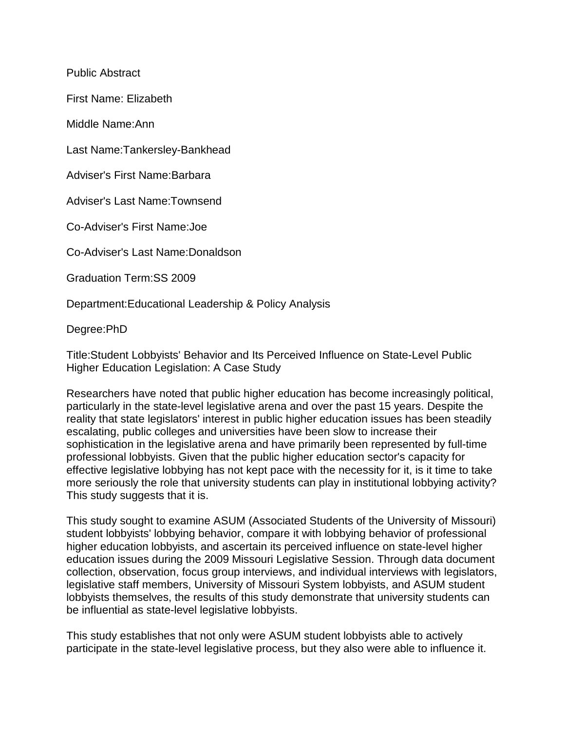Public Abstract

First Name: Elizabeth

Middle Name:Ann

Last Name:Tankersley-Bankhead

Adviser's First Name:Barbara

Adviser's Last Name:Townsend

Co-Adviser's First Name:Joe

Co-Adviser's Last Name:Donaldson

Graduation Term:SS 2009

Department:Educational Leadership & Policy Analysis

Degree:PhD

Title:Student Lobbyists' Behavior and Its Perceived Influence on State-Level Public Higher Education Legislation: A Case Study

Researchers have noted that public higher education has become increasingly political, particularly in the state-level legislative arena and over the past 15 years. Despite the reality that state legislators' interest in public higher education issues has been steadily escalating, public colleges and universities have been slow to increase their sophistication in the legislative arena and have primarily been represented by full-time professional lobbyists. Given that the public higher education sector's capacity for effective legislative lobbying has not kept pace with the necessity for it, is it time to take more seriously the role that university students can play in institutional lobbying activity? This study suggests that it is.

This study sought to examine ASUM (Associated Students of the University of Missouri) student lobbyists' lobbying behavior, compare it with lobbying behavior of professional higher education lobbyists, and ascertain its perceived influence on state-level higher education issues during the 2009 Missouri Legislative Session. Through data document collection, observation, focus group interviews, and individual interviews with legislators, legislative staff members, University of Missouri System lobbyists, and ASUM student lobbyists themselves, the results of this study demonstrate that university students can be influential as state-level legislative lobbyists.

This study establishes that not only were ASUM student lobbyists able to actively participate in the state-level legislative process, but they also were able to influence it.